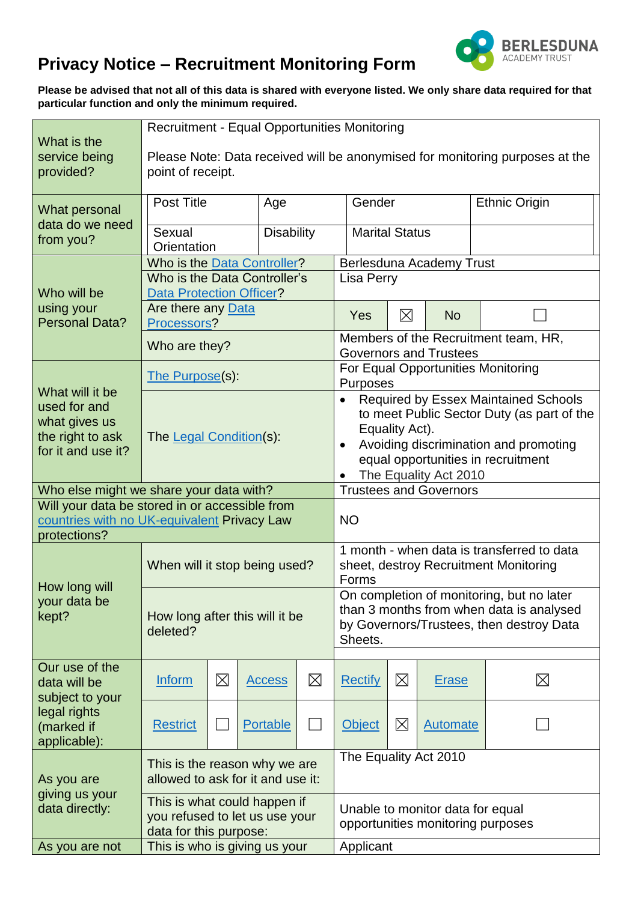

## **Privacy Notice – Recruitment Monitoring Form**

**Please be advised that not all of this data is shared with everyone listed. We only share data required for that particular function and only the minimum required.**

| What is the<br>service being<br>provided?                                                                     | Recruitment - Equal Opportunities Monitoring<br>Please Note: Data received will be anonymised for monitoring purposes at the<br>point of receipt. |                               |                 |                                                                                                                                              |                                                                                                                                                                                                                           |             |                 |                      |  |  |  |
|---------------------------------------------------------------------------------------------------------------|---------------------------------------------------------------------------------------------------------------------------------------------------|-------------------------------|-----------------|----------------------------------------------------------------------------------------------------------------------------------------------|---------------------------------------------------------------------------------------------------------------------------------------------------------------------------------------------------------------------------|-------------|-----------------|----------------------|--|--|--|
| What personal<br>data do we need<br>from you?                                                                 | Post Title<br>Age                                                                                                                                 |                               |                 |                                                                                                                                              | Gender                                                                                                                                                                                                                    |             |                 | <b>Ethnic Origin</b> |  |  |  |
|                                                                                                               | <b>Disability</b><br>Sexual<br>Orientation                                                                                                        |                               |                 | <b>Marital Status</b>                                                                                                                        |                                                                                                                                                                                                                           |             |                 |                      |  |  |  |
| Who will be<br>using your<br><b>Personal Data?</b>                                                            | Who is the Data Controller?                                                                                                                       |                               |                 | Berlesduna Academy Trust                                                                                                                     |                                                                                                                                                                                                                           |             |                 |                      |  |  |  |
|                                                                                                               | Who is the Data Controller's                                                                                                                      |                               |                 | Lisa Perry                                                                                                                                   |                                                                                                                                                                                                                           |             |                 |                      |  |  |  |
|                                                                                                               | <b>Data Protection Officer?</b>                                                                                                                   |                               |                 |                                                                                                                                              |                                                                                                                                                                                                                           |             |                 |                      |  |  |  |
|                                                                                                               | Are there any Data<br>Processors?                                                                                                                 |                               |                 | Yes                                                                                                                                          | 冈                                                                                                                                                                                                                         | <b>No</b>   |                 |                      |  |  |  |
|                                                                                                               | Who are they?                                                                                                                                     |                               |                 |                                                                                                                                              | Members of the Recruitment team, HR,<br><b>Governors and Trustees</b>                                                                                                                                                     |             |                 |                      |  |  |  |
| What will it be<br>used for and<br>what gives us<br>the right to ask<br>for it and use it?                    | The Purpose(s):                                                                                                                                   |                               |                 |                                                                                                                                              | For Equal Opportunities Monitoring<br>Purposes                                                                                                                                                                            |             |                 |                      |  |  |  |
|                                                                                                               | The Legal Condition(s):                                                                                                                           |                               |                 |                                                                                                                                              | Required by Essex Maintained Schools<br>$\bullet$<br>to meet Public Sector Duty (as part of the<br>Equality Act).<br>Avoiding discrimination and promoting<br>equal opportunities in recruitment<br>The Equality Act 2010 |             |                 |                      |  |  |  |
| Who else might we share your data with?                                                                       |                                                                                                                                                   | <b>Trustees and Governors</b> |                 |                                                                                                                                              |                                                                                                                                                                                                                           |             |                 |                      |  |  |  |
| Will your data be stored in or accessible from<br>countries with no UK-equivalent Privacy Law<br>protections? |                                                                                                                                                   |                               |                 |                                                                                                                                              | <b>NO</b>                                                                                                                                                                                                                 |             |                 |                      |  |  |  |
| How long will<br>your data be<br>kept?                                                                        | When will it stop being used?                                                                                                                     |                               |                 |                                                                                                                                              | 1 month - when data is transferred to data<br>sheet, destroy Recruitment Monitoring<br>Forms                                                                                                                              |             |                 |                      |  |  |  |
|                                                                                                               | How long after this will it be<br>deleted?                                                                                                        |                               |                 | On completion of monitoring, but no later<br>than 3 months from when data is analysed<br>by Governors/Trustees, then destroy Data<br>Sheets. |                                                                                                                                                                                                                           |             |                 |                      |  |  |  |
| Our use of the                                                                                                |                                                                                                                                                   |                               |                 |                                                                                                                                              |                                                                                                                                                                                                                           |             |                 |                      |  |  |  |
| data will be<br>subject to your                                                                               | Inform                                                                                                                                            | $\boxtimes$                   | <b>Access</b>   | $\boxtimes$                                                                                                                                  | <b>Rectify</b>                                                                                                                                                                                                            | $\boxtimes$ | <b>Erase</b>    | $\boxtimes$          |  |  |  |
| legal rights<br>(marked if<br>applicable):                                                                    | <b>Restrict</b>                                                                                                                                   |                               | <b>Portable</b> |                                                                                                                                              | <b>Object</b>                                                                                                                                                                                                             | $\boxtimes$ | <b>Automate</b> |                      |  |  |  |
| As you are<br>giving us your<br>data directly:                                                                | This is the reason why we are<br>allowed to ask for it and use it:                                                                                |                               |                 | The Equality Act 2010                                                                                                                        |                                                                                                                                                                                                                           |             |                 |                      |  |  |  |
|                                                                                                               | This is what could happen if<br>you refused to let us use your<br>data for this purpose:                                                          |                               |                 | Unable to monitor data for equal<br>opportunities monitoring purposes                                                                        |                                                                                                                                                                                                                           |             |                 |                      |  |  |  |
| As you are not                                                                                                | This is who is giving us your                                                                                                                     |                               |                 |                                                                                                                                              | Applicant                                                                                                                                                                                                                 |             |                 |                      |  |  |  |